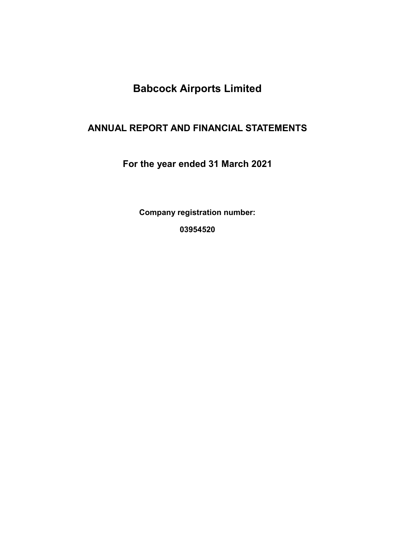# ANNUAL REPORT AND FINANCIAL STATEMENTS

For the year ended 31 March 2021

Company registration number:

03954520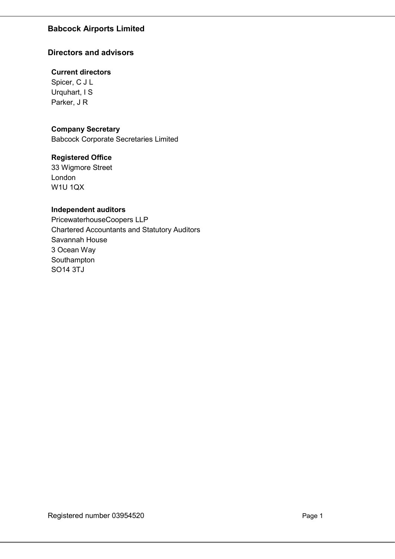## Directors and advisors

## Current directors

Spicer, C J L Urquhart, I S Parker, J R

## Company Secretary

Babcock Corporate Secretaries Limited

## Registered Office

33 Wigmore Street London W1U 1QX

## Independent auditors

PricewaterhouseCoopers LLP Chartered Accountants and Statutory Auditors Savannah House 3 Ocean Way Southampton SO14 3TJ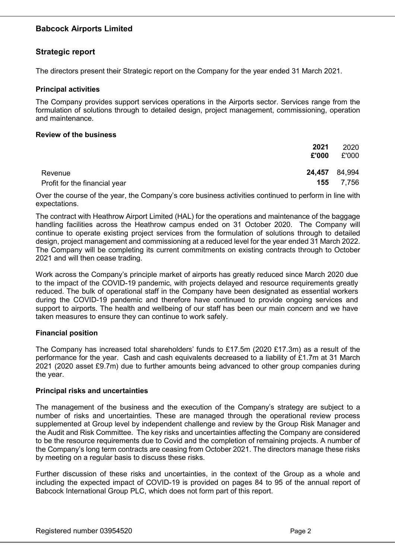## Strategic report

The directors present their Strategic report on the Company for the year ended 31 March 2021.

#### Principal activities

The Company provides support services operations in the Airports sector. Services range from the formulation of solutions through to detailed design, project management, commissioning, operation and maintenance.

### Review of the business

|                                          | 2021<br>£'000 | 2020<br>£'000 |
|------------------------------------------|---------------|---------------|
| Revenue<br>Profit for the financial year | 24,457 84,994 | 155 7,756     |

Over the course of the year, the Company's core business activities continued to perform in line with expectations.

The contract with Heathrow Airport Limited (HAL) for the operations and maintenance of the baggage handling facilities across the Heathrow campus ended on 31 October 2020. The Company will continue to operate existing project services from the formulation of solutions through to detailed design, project management and commissioning at a reduced level for the year ended 31 March 2022. The Company will be completing its current commitments on existing contracts through to October 2021 and will then cease trading.

Work across the Company's principle market of airports has greatly reduced since March 2020 due to the impact of the COVID-19 pandemic, with projects delayed and resource requirements greatly reduced. The bulk of operational staff in the Company have been designated as essential workers during the COVID-19 pandemic and therefore have continued to provide ongoing services and support to airports. The health and wellbeing of our staff has been our main concern and we have taken measures to ensure they can continue to work safely.

#### Financial position

The Company has increased total shareholders' funds to £17.5m (2020 £17.3m) as a result of the performance for the year. Cash and cash equivalents decreased to a liability of £1.7m at 31 March 2021 (2020 asset £9.7m) due to further amounts being advanced to other group companies during the year.

#### Principal risks and uncertainties

The management of the business and the execution of the Company's strategy are subject to a number of risks and uncertainties. These are managed through the operational review process supplemented at Group level by independent challenge and review by the Group Risk Manager and the Audit and Risk Committee. The key risks and uncertainties affecting the Company are considered to be the resource requirements due to Covid and the completion of remaining projects. A number of the Company's long term contracts are ceasing from October 2021. The directors manage these risks by meeting on a regular basis to discuss these risks.

Further discussion of these risks and uncertainties, in the context of the Group as a whole and including the expected impact of COVID-19 is provided on pages 84 to 95 of the annual report of Babcock International Group PLC, which does not form part of this report.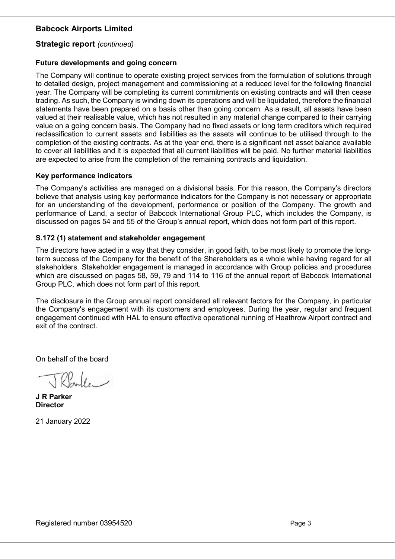### Strategic report (continued)

#### Future developments and going concern

The Company will continue to operate existing project services from the formulation of solutions through to detailed design, project management and commissioning at a reduced level for the following financial year. The Company will be completing its current commitments on existing contracts and will then cease trading. As such, the Company is winding down its operations and will be liquidated, therefore the financial statements have been prepared on a basis other than going concern. As a result, all assets have been valued at their realisable value, which has not resulted in any material change compared to their carrying value on a going concern basis. The Company had no fixed assets or long term creditors which required reclassification to current assets and liabilities as the assets will continue to be utilised through to the completion of the existing contracts. As at the year end, there is a significant net asset balance available to cover all liabilities and it is expected that all current liabilities will be paid. No further material liabilities are expected to arise from the completion of the remaining contracts and liquidation.

#### Key performance indicators

The Company's activities are managed on a divisional basis. For this reason, the Company's directors believe that analysis using key performance indicators for the Company is not necessary or appropriate for an understanding of the development, performance or position of the Company. The growth and performance of Land, a sector of Babcock International Group PLC, which includes the Company, is discussed on pages 54 and 55 of the Group's annual report, which does not form part of this report.

#### S.172 (1) statement and stakeholder engagement

The directors have acted in a way that they consider, in good faith, to be most likely to promote the longterm success of the Company for the benefit of the Shareholders as a whole while having regard for all stakeholders. Stakeholder engagement is managed in accordance with Group policies and procedures which are discussed on pages 58, 59, 79 and 114 to 116 of the annual report of Babcock International Group PLC, which does not form part of this report.

The disclosure in the Group annual report considered all relevant factors for the Company, in particular the Company's engagement with its customers and employees. During the year, regular and frequent engagement continued with HAL to ensure effective operational running of Heathrow Airport contract and exit of the contract.

On behalf of the board

 $\sqrt{l}$ 

J R Parker **Director** 

21 January 2022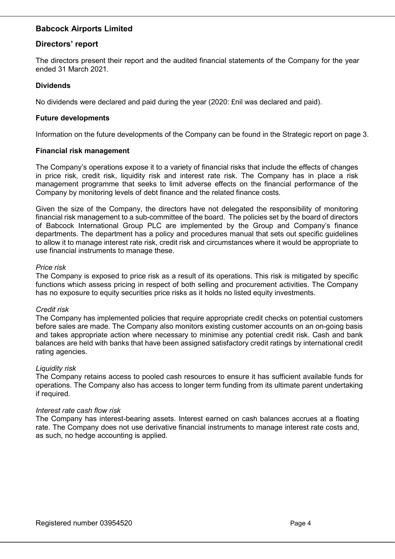## Directors' report

The directors present their report and the audited financial statements of the Company for the year ended 31 March 2021.

### Dividends

No dividends were declared and paid during the year (2020: £nil was declared and paid).

#### Future developments

Information on the future developments of the Company can be found in the Strategic report on page 3.

#### Financial risk management

The Company's operations expose it to a variety of financial risks that include the effects of changes in price risk, credit risk, liquidity risk and interest rate risk. The Company has in place a risk management programme that seeks to limit adverse effects on the financial performance of the Company by monitoring levels of debt finance and the related finance costs.

Given the size of the Company, the directors have not delegated the responsibility of monitoring financial risk management to a sub-committee of the board. The policies set by the board of directors of Babcock International Group PLC are implemented by the Group and Company's finance departments. The department has a policy and procedures manual that sets out specific guidelines to allow it to manage interest rate risk, credit risk and circumstances where it would be appropriate to use financial instruments to manage these.

#### Price risk

The Company is exposed to price risk as a result of its operations. This risk is mitigated by specific functions which assess pricing in respect of both selling and procurement activities. The Company has no exposure to equity securities price risks as it holds no listed equity investments.

#### Credit risk

The Company has implemented policies that require appropriate credit checks on potential customers before sales are made. The Company also monitors existing customer accounts on an on-going basis and takes appropriate action where necessary to minimise any potential credit risk. Cash and bank balances are held with banks that have been assigned satisfactory credit ratings by international credit rating agencies.

#### Liquidity risk

The Company retains access to pooled cash resources to ensure it has sufficient available funds for operations. The Company also has access to longer term funding from its ultimate parent undertaking if required.

#### Interest rate cash flow risk

The Company has interest-bearing assets. Interest earned on cash balances accrues at a floating rate. The Company does not use derivative financial instruments to manage interest rate costs and, as such, no hedge accounting is applied.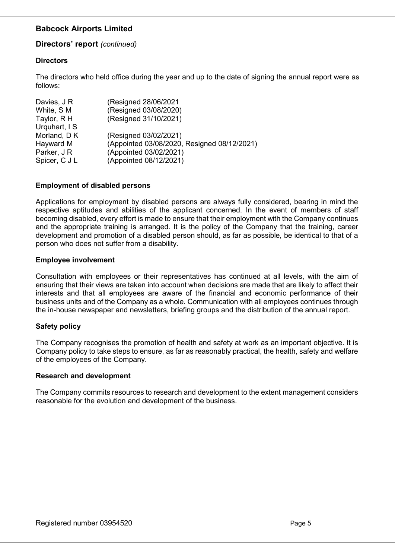## Directors' report (continued)

## **Directors**

The directors who held office during the year and up to the date of signing the annual report were as follows:

| (Resigned 28/06/2021                        |
|---------------------------------------------|
| (Resigned 03/08/2020)                       |
| (Resigned 31/10/2021)                       |
|                                             |
| (Resigned 03/02/2021)                       |
| (Appointed 03/08/2020, Resigned 08/12/2021) |
| (Appointed 03/02/2021)                      |
| (Appointed 08/12/2021)                      |
|                                             |

## Employment of disabled persons

Applications for employment by disabled persons are always fully considered, bearing in mind the respective aptitudes and abilities of the applicant concerned. In the event of members of staff becoming disabled, every effort is made to ensure that their employment with the Company continues and the appropriate training is arranged. It is the policy of the Company that the training, career development and promotion of a disabled person should, as far as possible, be identical to that of a person who does not suffer from a disability.

#### Employee involvement

Consultation with employees or their representatives has continued at all levels, with the aim of ensuring that their views are taken into account when decisions are made that are likely to affect their interests and that all employees are aware of the financial and economic performance of their business units and of the Company as a whole. Communication with all employees continues through the in-house newspaper and newsletters, briefing groups and the distribution of the annual report.

## Safety policy

The Company recognises the promotion of health and safety at work as an important objective. It is Company policy to take steps to ensure, as far as reasonably practical, the health, safety and welfare of the employees of the Company.

#### Research and development

The Company commits resources to research and development to the extent management considers reasonable for the evolution and development of the business.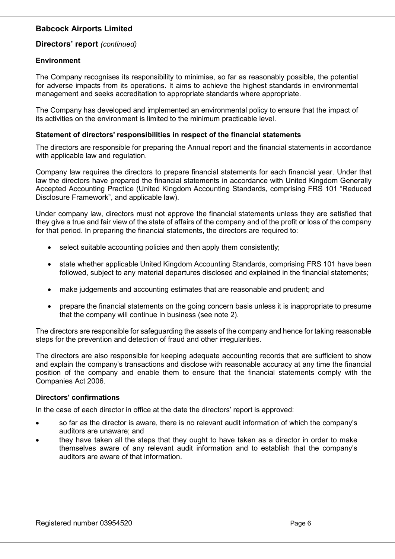## Directors' report (continued)

## Environment

The Company recognises its responsibility to minimise, so far as reasonably possible, the potential for adverse impacts from its operations. It aims to achieve the highest standards in environmental management and seeks accreditation to appropriate standards where appropriate.

The Company has developed and implemented an environmental policy to ensure that the impact of its activities on the environment is limited to the minimum practicable level.

#### Statement of directors' responsibilities in respect of the financial statements

The directors are responsible for preparing the Annual report and the financial statements in accordance with applicable law and regulation.

Company law requires the directors to prepare financial statements for each financial year. Under that law the directors have prepared the financial statements in accordance with United Kingdom Generally Accepted Accounting Practice (United Kingdom Accounting Standards, comprising FRS 101 "Reduced Disclosure Framework", and applicable law).

Under company law, directors must not approve the financial statements unless they are satisfied that they give a true and fair view of the state of affairs of the company and of the profit or loss of the company for that period. In preparing the financial statements, the directors are required to:

- select suitable accounting policies and then apply them consistently;
- state whether applicable United Kingdom Accounting Standards, comprising FRS 101 have been followed, subject to any material departures disclosed and explained in the financial statements;
- make judgements and accounting estimates that are reasonable and prudent; and
- prepare the financial statements on the going concern basis unless it is inappropriate to presume that the company will continue in business (see note 2).

The directors are responsible for safeguarding the assets of the company and hence for taking reasonable steps for the prevention and detection of fraud and other irregularities.

The directors are also responsible for keeping adequate accounting records that are sufficient to show and explain the company's transactions and disclose with reasonable accuracy at any time the financial position of the company and enable them to ensure that the financial statements comply with the Companies Act 2006.

## Directors' confirmations

In the case of each director in office at the date the directors' report is approved:

- so far as the director is aware, there is no relevant audit information of which the company's auditors are unaware; and
- they have taken all the steps that they ought to have taken as a director in order to make themselves aware of any relevant audit information and to establish that the company's auditors are aware of that information.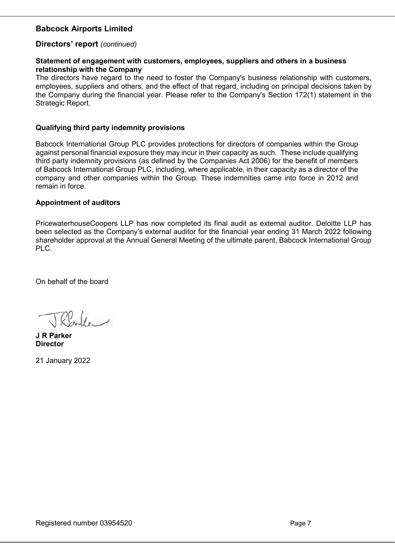### Directors' report (continued)

#### Statement of engagement with customers, employees, suppliers and others in a business relationship with the Company

The directors have regard to the need to foster the Company's business relationship with customers, employees, suppliers and others, and the effect of that regard, including on principal decisions taken by the Company during the financial year. Please refer to the Company's Section 172(1) statement in the Strategic Report.

#### Qualifying third party indemnity provisions

Babcock International Group PLC provides protections for directors of companies within the Group against personal financial exposure they may incur in their capacity as such. These include qualifying third party indemnity provisions (as defined by the Companies Act 2006) for the benefit of members of Babcock International Group PLC, including, where applicable, in their capacity as a director of the company and other companies within the Group. These indemnities came into force in 2012 and remain in force.

#### Appointment of auditors

PricewaterhouseCoopers LLP has now completed its final audit as external auditor. Deloitte LLP has been selected as the Company's external auditor for the financial year ending 31 March 2022 following shareholder approval at the Annual General Meeting of the ultimate parent, Babcock International Group PLC.

On behalf of the board

 $P_{\infty}$ le

J R Parker Director

21 January 2022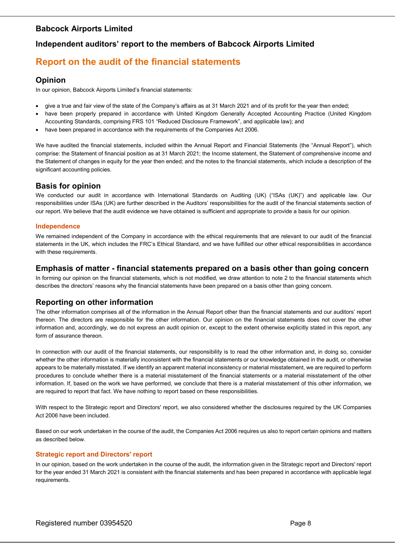## Independent auditors' report to the members of Babcock Airports Limited

# Report on the audit of the financial statements

#### Opinion

In our opinion, Babcock Airports Limited's financial statements:

- give a true and fair view of the state of the Company's affairs as at 31 March 2021 and of its profit for the year then ended;
- have been properly prepared in accordance with United Kingdom Generally Accepted Accounting Practice (United Kingdom Accounting Standards, comprising FRS 101 "Reduced Disclosure Framework", and applicable law); and
- have been prepared in accordance with the requirements of the Companies Act 2006.

We have audited the financial statements, included within the Annual Report and Financial Statements (the "Annual Report"), which comprise: the Statement of financial position as at 31 March 2021; the Income statement, the Statement of comprehensive income and the Statement of changes in equity for the year then ended; and the notes to the financial statements, which include a description of the significant accounting policies.

#### Basis for opinion

We conducted our audit in accordance with International Standards on Auditing (UK) ("ISAs (UK)") and applicable law. Our responsibilities under ISAs (UK) are further described in the Auditors' responsibilities for the audit of the financial statements section of our report. We believe that the audit evidence we have obtained is sufficient and appropriate to provide a basis for our opinion.

#### Independence

We remained independent of the Company in accordance with the ethical requirements that are relevant to our audit of the financial statements in the UK, which includes the FRC's Ethical Standard, and we have fulfilled our other ethical responsibilities in accordance with these requirements.

#### Emphasis of matter - financial statements prepared on a basis other than going concern

In forming our opinion on the financial statements, which is not modified, we draw attention to note 2 to the financial statements which describes the directors' reasons why the financial statements have been prepared on a basis other than going concern.

## Reporting on other information

The other information comprises all of the information in the Annual Report other than the financial statements and our auditors' report thereon. The directors are responsible for the other information. Our opinion on the financial statements does not cover the other information and, accordingly, we do not express an audit opinion or, except to the extent otherwise explicitly stated in this report, any form of assurance thereon.

In connection with our audit of the financial statements, our responsibility is to read the other information and, in doing so, consider whether the other information is materially inconsistent with the financial statements or our knowledge obtained in the audit, or otherwise appears to be materially misstated. If we identify an apparent material inconsistency or material misstatement, we are required to perform procedures to conclude whether there is a material misstatement of the financial statements or a material misstatement of the other information. If, based on the work we have performed, we conclude that there is a material misstatement of this other information, we are required to report that fact. We have nothing to report based on these responsibilities.

With respect to the Strategic report and Directors' report, we also considered whether the disclosures required by the UK Companies Act 2006 have been included.

Based on our work undertaken in the course of the audit, the Companies Act 2006 requires us also to report certain opinions and matters as described below.

#### Strategic report and Directors' report

In our opinion, based on the work undertaken in the course of the audit, the information given in the Strategic report and Directors' report for the year ended 31 March 2021 is consistent with the financial statements and has been prepared in accordance with applicable legal requirements.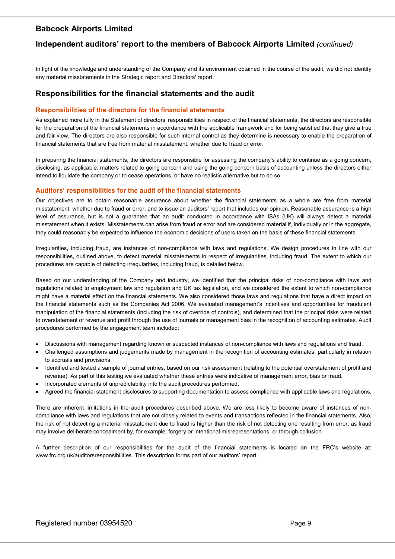## Independent auditors' report to the members of Babcock Airports Limited (continued)

In light of the knowledge and understanding of the Company and its environment obtained in the course of the audit, we did not identify any material misstatements in the Strategic report and Directors' report.

#### Responsibilities for the financial statements and the audit

#### Responsibilities of the directors for the financial statements

As explained more fully in the Statement of directors' responsibilities in respect of the financial statements, the directors are responsible for the preparation of the financial statements in accordance with the applicable framework and for being satisfied that they give a true and fair view. The directors are also responsible for such internal control as they determine is necessary to enable the preparation of financial statements that are free from material misstatement, whether due to fraud or error.

In preparing the financial statements, the directors are responsible for assessing the company's ability to continue as a going concern, disclosing, as applicable, matters related to going concern and using the going concern basis of accounting unless the directors either intend to liquidate the company or to cease operations, or have no realistic alternative but to do so.

#### Auditors' responsibilities for the audit of the financial statements

Our objectives are to obtain reasonable assurance about whether the financial statements as a whole are free from material misstatement, whether due to fraud or error, and to issue an auditors' report that includes our opinion. Reasonable assurance is a high level of assurance, but is not a guarantee that an audit conducted in accordance with ISAs (UK) will always detect a material misstatement when it exists. Misstatements can arise from fraud or error and are considered material if, individually or in the aggregate, they could reasonably be expected to influence the economic decisions of users taken on the basis of these financial statements.

Irregularities, including fraud, are instances of non-compliance with laws and regulations. We design procedures in line with our responsibilities, outlined above, to detect material misstatements in respect of irregularities, including fraud. The extent to which our procedures are capable of detecting irregularities, including fraud, is detailed below.

Based on our understanding of the Company and industry, we identified that the principal risks of non-compliance with laws and regulations related to employment law and regulation and UK tax legislation, and we considered the extent to which non-compliance might have a material effect on the financial statements. We also considered those laws and regulations that have a direct impact on the financial statements such as the Companies Act 2006. We evaluated management's incentives and opportunities for fraudulent manipulation of the financial statements (including the risk of override of controls), and determined that the principal risks were related to overstatement of revenue and profit through the use of journals or management bias in the recognition of accounting estimates. Audit procedures performed by the engagement team included:

- Discussions with management regarding known or suspected instances of non-compliance with laws and regulations and fraud.
- Challenged assumptions and judgements made by management in the recognition of accounting estimates, particularly in relation to accruals and provisions.
- Identified and tested a sample of journal entries, based on our risk assessment (relating to the potential overstatement of profit and revenue). As part of this testing we evaluated whether these entries were indicative of management error, bias or fraud.
- Incorporated elements of unpredictability into the audit procedures performed.
- Agreed the financial statement disclosures to supporting documentation to assess compliance with applicable laws and regulations.

There are inherent limitations in the audit procedures described above. We are less likely to become aware of instances of noncompliance with laws and regulations that are not closely related to events and transactions reflected in the financial statements. Also, the risk of not detecting a material misstatement due to fraud is higher than the risk of not detecting one resulting from error, as fraud may involve deliberate concealment by, for example, forgery or intentional misrepresentations, or through collusion.

A further description of our responsibilities for the audit of the financial statements is located on the FRC's website at: www.frc.org.uk/auditorsresponsibilities. This description forms part of our auditors' report.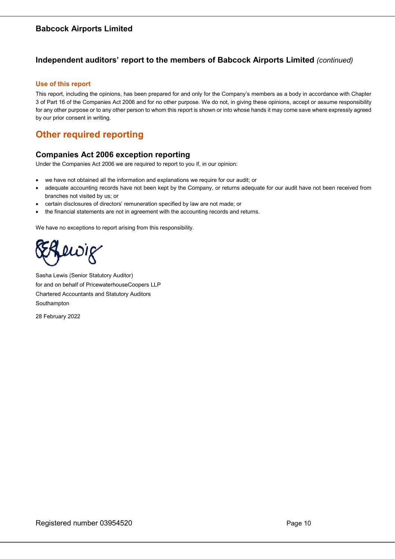## Independent auditors' report to the members of Babcock Airports Limited (continued)

#### Use of this report

This report, including the opinions, has been prepared for and only for the Company's members as a body in accordance with Chapter 3 of Part 16 of the Companies Act 2006 and for no other purpose. We do not, in giving these opinions, accept or assume responsibility for any other purpose or to any other person to whom this report is shown or into whose hands it may come save where expressly agreed by our prior consent in writing.

## Other required reporting

## Companies Act 2006 exception reporting

Under the Companies Act 2006 we are required to report to you if, in our opinion:

- we have not obtained all the information and explanations we require for our audit; or
- adequate accounting records have not been kept by the Company, or returns adequate for our audit have not been received from branches not visited by us; or
- certain disclosures of directors' remuneration specified by law are not made; or
- the financial statements are not in agreement with the accounting records and returns.

We have no exceptions to report arising from this responsibility.

ewig

Sasha Lewis (Senior Statutory Auditor) for and on behalf of PricewaterhouseCoopers LLP Chartered Accountants and Statutory Auditors Southampton

28 February 2022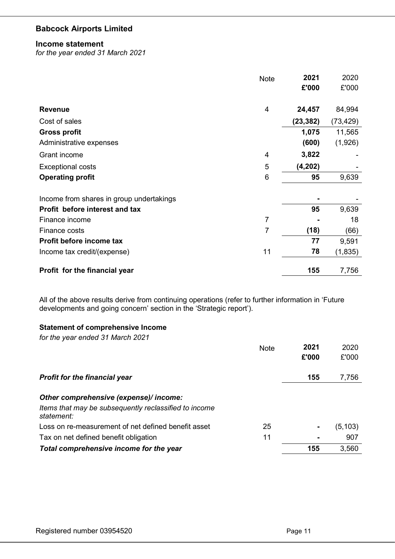#### Income statement

for the year ended 31 March 2021

|                                          | <b>Note</b>    | 2021      | 2020     |
|------------------------------------------|----------------|-----------|----------|
|                                          |                | £'000     | £'000    |
|                                          |                |           |          |
| <b>Revenue</b>                           | $\overline{4}$ | 24,457    | 84,994   |
| Cost of sales                            |                | (23, 382) | (73,429) |
| <b>Gross profit</b>                      |                | 1,075     | 11,565   |
| Administrative expenses                  |                | (600)     | (1,926)  |
| Grant income                             | 4              | 3,822     |          |
| <b>Exceptional costs</b>                 | 5              | (4, 202)  |          |
| <b>Operating profit</b>                  | 6              | 95        | 9,639    |
|                                          |                |           |          |
| Income from shares in group undertakings |                |           |          |
| Profit before interest and tax           |                | 95        | 9,639    |
| Finance income                           | 7              |           | 18       |
| Finance costs                            | $\overline{7}$ | (18)      | (66)     |
| Profit before income tax                 |                | 77        | 9,591    |
| Income tax credit/(expense)              | 11             | 78        | (1, 835) |
| Profit for the financial year            |                | 155       | 7,756    |

All of the above results derive from continuing operations (refer to further information in 'Future developments and going concern' section in the 'Strategic report').

## Statement of comprehensive Income

for the year ended 31 March 2021

|                                                                     | <b>Note</b> | 2021  | 2020     |
|---------------------------------------------------------------------|-------------|-------|----------|
|                                                                     |             | £'000 | £'000    |
| <b>Profit for the financial year</b>                                |             | 155   | 7,756    |
| Other comprehensive (expense)/ income:                              |             |       |          |
| Items that may be subsequently reclassified to income<br>statement: |             |       |          |
| Loss on re-measurement of net defined benefit asset                 | 25          |       | (5, 103) |
| Tax on net defined benefit obligation                               | 11          | ۰     | 907      |
| Total comprehensive income for the year                             |             | 155   | 3,560    |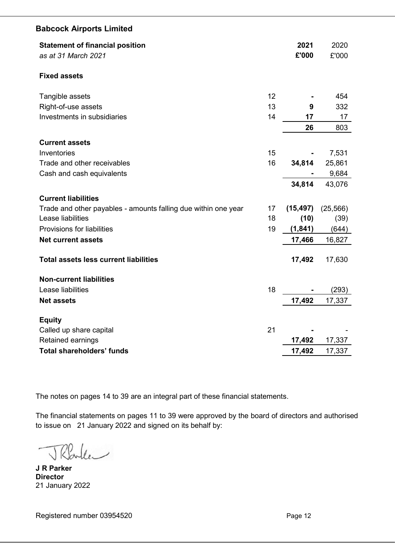| <b>Statement of financial position</b><br>as at 31 March 2021  |    | 2021<br>£'000 | 2020<br>£'000 |
|----------------------------------------------------------------|----|---------------|---------------|
| <b>Fixed assets</b>                                            |    |               |               |
| Tangible assets                                                | 12 |               | 454           |
| Right-of-use assets                                            | 13 | 9             | 332           |
| Investments in subsidiaries                                    | 14 | 17            | 17            |
|                                                                |    | 26            | 803           |
| <b>Current assets</b>                                          |    |               |               |
| Inventories                                                    | 15 |               | 7,531         |
| Trade and other receivables                                    | 16 | 34,814        | 25,861        |
| Cash and cash equivalents                                      |    |               | 9,684         |
|                                                                |    | 34,814        | 43,076        |
| <b>Current liabilities</b>                                     |    |               |               |
| Trade and other payables - amounts falling due within one year | 17 | (15, 497)     | (25, 566)     |
| Lease liabilities                                              | 18 | (10)          | (39)          |
| <b>Provisions for liabilities</b>                              | 19 | (1, 841)      | (644)         |
| <b>Net current assets</b>                                      |    | 17,466        | 16,827        |
| <b>Total assets less current liabilities</b>                   |    | 17,492        | 17,630        |
| <b>Non-current liabilities</b>                                 |    |               |               |
| Lease liabilities                                              | 18 |               | (293)         |
| <b>Net assets</b>                                              |    | 17,492        | 17,337        |
| <b>Equity</b>                                                  |    |               |               |
| Called up share capital                                        | 21 |               |               |
| Retained earnings                                              |    | 17,492        | 17,337        |
| <b>Total shareholders' funds</b>                               |    | 17,492        | 17,337        |

The notes on pages 14 to 39 are an integral part of these financial statements.

The financial statements on pages 11 to 39 were approved by the board of directors and authorised to issue on 21 January 2022 and signed on its behalf by:

TRaller

J R Parker **Director** 21 January 2022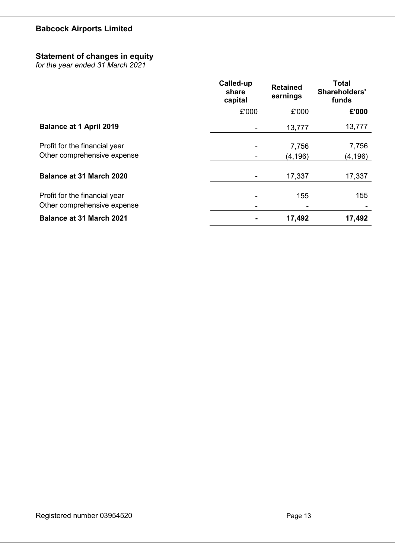## Statement of changes in equity

for the year ended 31 March 2021

|                                                              | Called-up<br>share<br>capital | <b>Retained</b><br>earnings | <b>Total</b><br><b>Shareholders'</b><br>funds |
|--------------------------------------------------------------|-------------------------------|-----------------------------|-----------------------------------------------|
|                                                              | £'000                         | £'000                       | £'000                                         |
| <b>Balance at 1 April 2019</b>                               |                               | 13,777                      | 13,777                                        |
| Profit for the financial year<br>Other comprehensive expense |                               | 7,756<br>(4, 196)           | 7,756<br>(4, 196)                             |
| <b>Balance at 31 March 2020</b>                              |                               | 17,337                      | 17,337                                        |
| Profit for the financial year<br>Other comprehensive expense |                               | 155                         | 155                                           |
| <b>Balance at 31 March 2021</b>                              |                               | 17,492                      | 17,492                                        |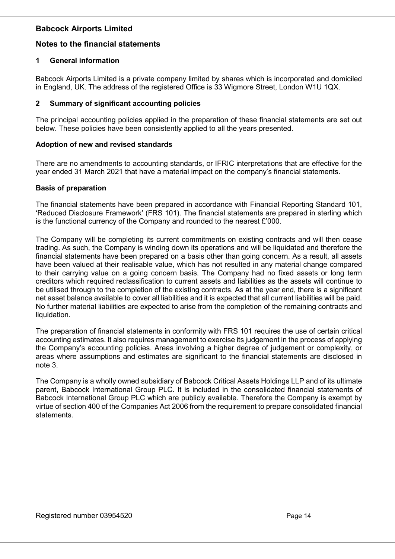## Notes to the financial statements

## 1 General information

Babcock Airports Limited is a private company limited by shares which is incorporated and domiciled in England, UK. The address of the registered Office is 33 Wigmore Street, London W1U 1QX.

## 2 Summary of significant accounting policies

The principal accounting policies applied in the preparation of these financial statements are set out below. These policies have been consistently applied to all the years presented.

## Adoption of new and revised standards

There are no amendments to accounting standards, or IFRIC interpretations that are effective for the year ended 31 March 2021 that have a material impact on the company's financial statements.

## Basis of preparation

The financial statements have been prepared in accordance with Financial Reporting Standard 101, 'Reduced Disclosure Framework' (FRS 101). The financial statements are prepared in sterling which is the functional currency of the Company and rounded to the nearest £'000.

The Company will be completing its current commitments on existing contracts and will then cease trading. As such, the Company is winding down its operations and will be liquidated and therefore the financial statements have been prepared on a basis other than going concern. As a result, all assets have been valued at their realisable value, which has not resulted in any material change compared to their carrying value on a going concern basis. The Company had no fixed assets or long term creditors which required reclassification to current assets and liabilities as the assets will continue to be utilised through to the completion of the existing contracts. As at the year end, there is a significant net asset balance available to cover all liabilities and it is expected that all current liabilities will be paid. No further material liabilities are expected to arise from the completion of the remaining contracts and liquidation.

The preparation of financial statements in conformity with FRS 101 requires the use of certain critical accounting estimates. It also requires management to exercise its judgement in the process of applying the Company's accounting policies. Areas involving a higher degree of judgement or complexity, or areas where assumptions and estimates are significant to the financial statements are disclosed in note 3.

The Company is a wholly owned subsidiary of Babcock Critical Assets Holdings LLP and of its ultimate parent, Babcock International Group PLC. It is included in the consolidated financial statements of Babcock International Group PLC which are publicly available. Therefore the Company is exempt by virtue of section 400 of the Companies Act 2006 from the requirement to prepare consolidated financial statements.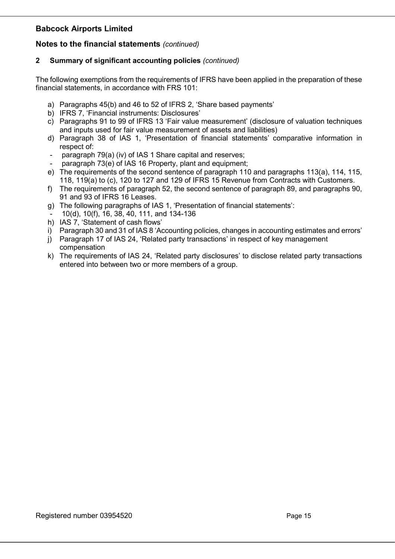## Notes to the financial statements (continued)

## 2 Summary of significant accounting policies (continued)

The following exemptions from the requirements of IFRS have been applied in the preparation of these financial statements, in accordance with FRS 101:

- a) Paragraphs 45(b) and 46 to 52 of IFRS 2, 'Share based payments'
- b) IFRS 7, 'Financial instruments: Disclosures'
- c) Paragraphs 91 to 99 of IFRS 13 'Fair value measurement' (disclosure of valuation techniques and inputs used for fair value measurement of assets and liabilities)
- d) Paragraph 38 of IAS 1, 'Presentation of financial statements' comparative information in respect of:
- paragraph 79(a) (iv) of IAS 1 Share capital and reserves;
- paragraph 73(e) of IAS 16 Property, plant and equipment;
- e) The requirements of the second sentence of paragraph 110 and paragraphs 113(a), 114, 115, 118, 119(a) to (c), 120 to 127 and 129 of IFRS 15 Revenue from Contracts with Customers.
- f) The requirements of paragraph 52, the second sentence of paragraph 89, and paragraphs 90, 91 and 93 of IFRS 16 Leases.
- g) The following paragraphs of IAS 1, 'Presentation of financial statements':
- 10(d), 10(f), 16, 38, 40, 111, and 134-136
- h) IAS 7, 'Statement of cash flows'
- i) Paragraph 30 and 31 of IAS 8 'Accounting policies, changes in accounting estimates and errors'
- j) Paragraph 17 of IAS 24, 'Related party transactions' in respect of key management compensation
- k) The requirements of IAS 24, 'Related party disclosures' to disclose related party transactions entered into between two or more members of a group.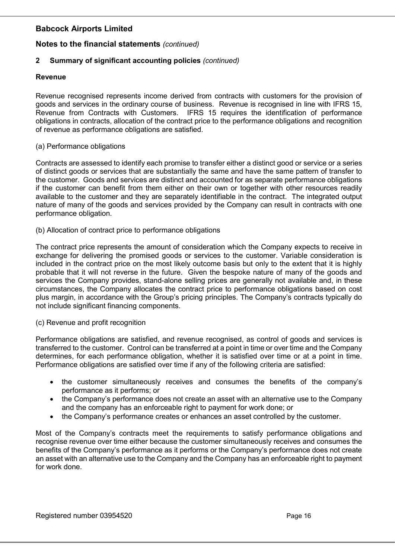## Notes to the financial statements (continued)

## 2 Summary of significant accounting policies (continued)

### Revenue

Revenue recognised represents income derived from contracts with customers for the provision of goods and services in the ordinary course of business. Revenue is recognised in line with IFRS 15, Revenue from Contracts with Customers. IFRS 15 requires the identification of performance obligations in contracts, allocation of the contract price to the performance obligations and recognition of revenue as performance obligations are satisfied.

#### (a) Performance obligations

Contracts are assessed to identify each promise to transfer either a distinct good or service or a series of distinct goods or services that are substantially the same and have the same pattern of transfer to the customer. Goods and services are distinct and accounted for as separate performance obligations if the customer can benefit from them either on their own or together with other resources readily available to the customer and they are separately identifiable in the contract. The integrated output nature of many of the goods and services provided by the Company can result in contracts with one performance obligation.

#### (b) Allocation of contract price to performance obligations

The contract price represents the amount of consideration which the Company expects to receive in exchange for delivering the promised goods or services to the customer. Variable consideration is included in the contract price on the most likely outcome basis but only to the extent that it is highly probable that it will not reverse in the future. Given the bespoke nature of many of the goods and services the Company provides, stand-alone selling prices are generally not available and, in these circumstances, the Company allocates the contract price to performance obligations based on cost plus margin, in accordance with the Group's pricing principles. The Company's contracts typically do not include significant financing components.

#### (c) Revenue and profit recognition

Performance obligations are satisfied, and revenue recognised, as control of goods and services is transferred to the customer. Control can be transferred at a point in time or over time and the Company determines, for each performance obligation, whether it is satisfied over time or at a point in time. Performance obligations are satisfied over time if any of the following criteria are satisfied:

- the customer simultaneously receives and consumes the benefits of the company's performance as it performs; or
- the Company's performance does not create an asset with an alternative use to the Company and the company has an enforceable right to payment for work done; or
- the Company's performance creates or enhances an asset controlled by the customer.

Most of the Company's contracts meet the requirements to satisfy performance obligations and recognise revenue over time either because the customer simultaneously receives and consumes the benefits of the Company's performance as it performs or the Company's performance does not create an asset with an alternative use to the Company and the Company has an enforceable right to payment for work done.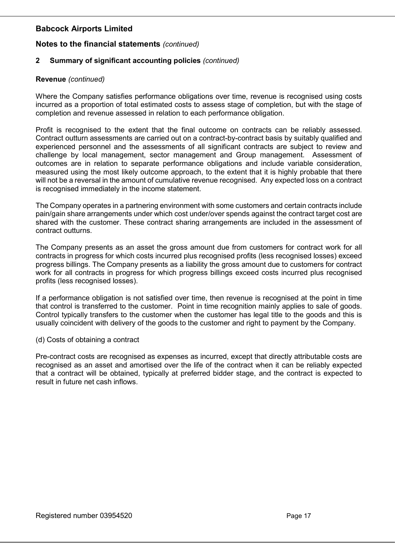## Notes to the financial statements (continued)

## 2 Summary of significant accounting policies (continued)

## Revenue (continued)

Where the Company satisfies performance obligations over time, revenue is recognised using costs incurred as a proportion of total estimated costs to assess stage of completion, but with the stage of completion and revenue assessed in relation to each performance obligation.

Profit is recognised to the extent that the final outcome on contracts can be reliably assessed. Contract outturn assessments are carried out on a contract-by-contract basis by suitably qualified and experienced personnel and the assessments of all significant contracts are subject to review and challenge by local management, sector management and Group management. Assessment of outcomes are in relation to separate performance obligations and include variable consideration, measured using the most likely outcome approach, to the extent that it is highly probable that there will not be a reversal in the amount of cumulative revenue recognised. Any expected loss on a contract is recognised immediately in the income statement.

The Company operates in a partnering environment with some customers and certain contracts include pain/gain share arrangements under which cost under/over spends against the contract target cost are shared with the customer. These contract sharing arrangements are included in the assessment of contract outturns.

The Company presents as an asset the gross amount due from customers for contract work for all contracts in progress for which costs incurred plus recognised profits (less recognised losses) exceed progress billings. The Company presents as a liability the gross amount due to customers for contract work for all contracts in progress for which progress billings exceed costs incurred plus recognised profits (less recognised losses).

If a performance obligation is not satisfied over time, then revenue is recognised at the point in time that control is transferred to the customer. Point in time recognition mainly applies to sale of goods. Control typically transfers to the customer when the customer has legal title to the goods and this is usually coincident with delivery of the goods to the customer and right to payment by the Company.

(d) Costs of obtaining a contract

Pre-contract costs are recognised as expenses as incurred, except that directly attributable costs are recognised as an asset and amortised over the life of the contract when it can be reliably expected that a contract will be obtained, typically at preferred bidder stage, and the contract is expected to result in future net cash inflows.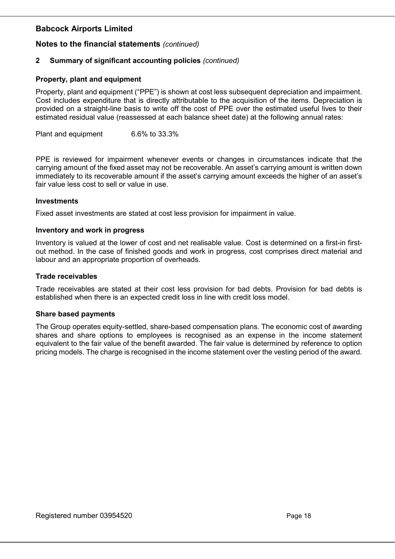## Notes to the financial statements (continued)

## 2 Summary of significant accounting policies (continued)

## Property, plant and equipment

Property, plant and equipment ("PPE") is shown at cost less subsequent depreciation and impairment. Cost includes expenditure that is directly attributable to the acquisition of the items. Depreciation is provided on a straight-line basis to write off the cost of PPE over the estimated useful lives to their estimated residual value (reassessed at each balance sheet date) at the following annual rates:

Plant and equipment 6.6% to 33.3%

PPE is reviewed for impairment whenever events or changes in circumstances indicate that the carrying amount of the fixed asset may not be recoverable. An asset's carrying amount is written down immediately to its recoverable amount if the asset's carrying amount exceeds the higher of an asset's fair value less cost to sell or value in use.

#### **Investments**

Fixed asset investments are stated at cost less provision for impairment in value.

#### Inventory and work in progress

Inventory is valued at the lower of cost and net realisable value. Cost is determined on a first-in firstout method. In the case of finished goods and work in progress, cost comprises direct material and labour and an appropriate proportion of overheads.

#### Trade receivables

Trade receivables are stated at their cost less provision for bad debts. Provision for bad debts is established when there is an expected credit loss in line with credit loss model.

#### Share based payments

The Group operates equity-settled, share-based compensation plans. The economic cost of awarding shares and share options to employees is recognised as an expense in the income statement equivalent to the fair value of the benefit awarded. The fair value is determined by reference to option pricing models. The charge is recognised in the income statement over the vesting period of the award.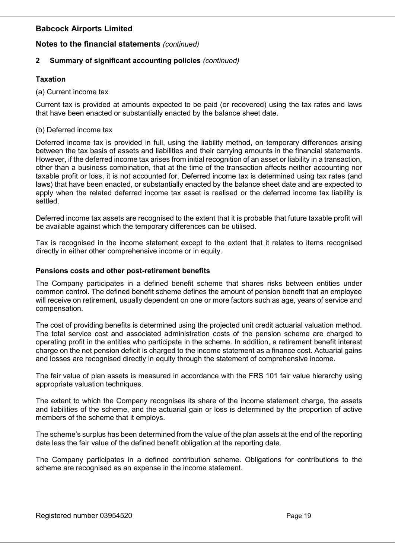## Notes to the financial statements (continued)

## 2 Summary of significant accounting policies (continued)

## Taxation

(a) Current income tax

Current tax is provided at amounts expected to be paid (or recovered) using the tax rates and laws that have been enacted or substantially enacted by the balance sheet date.

#### (b) Deferred income tax

Deferred income tax is provided in full, using the liability method, on temporary differences arising between the tax basis of assets and liabilities and their carrying amounts in the financial statements. However, if the deferred income tax arises from initial recognition of an asset or liability in a transaction, other than a business combination, that at the time of the transaction affects neither accounting nor taxable profit or loss, it is not accounted for. Deferred income tax is determined using tax rates (and laws) that have been enacted, or substantially enacted by the balance sheet date and are expected to apply when the related deferred income tax asset is realised or the deferred income tax liability is settled.

Deferred income tax assets are recognised to the extent that it is probable that future taxable profit will be available against which the temporary differences can be utilised.

Tax is recognised in the income statement except to the extent that it relates to items recognised directly in either other comprehensive income or in equity.

#### Pensions costs and other post-retirement benefits

The Company participates in a defined benefit scheme that shares risks between entities under common control. The defined benefit scheme defines the amount of pension benefit that an employee will receive on retirement, usually dependent on one or more factors such as age, years of service and compensation.

The cost of providing benefits is determined using the projected unit credit actuarial valuation method. The total service cost and associated administration costs of the pension scheme are charged to operating profit in the entities who participate in the scheme. In addition, a retirement benefit interest charge on the net pension deficit is charged to the income statement as a finance cost. Actuarial gains and losses are recognised directly in equity through the statement of comprehensive income.

The fair value of plan assets is measured in accordance with the FRS 101 fair value hierarchy using appropriate valuation techniques.

The extent to which the Company recognises its share of the income statement charge, the assets and liabilities of the scheme, and the actuarial gain or loss is determined by the proportion of active members of the scheme that it employs.

The scheme's surplus has been determined from the value of the plan assets at the end of the reporting date less the fair value of the defined benefit obligation at the reporting date.

The Company participates in a defined contribution scheme. Obligations for contributions to the scheme are recognised as an expense in the income statement.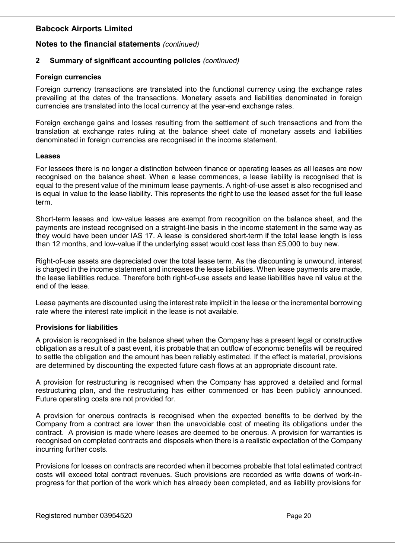## Notes to the financial statements (continued)

## 2 Summary of significant accounting policies (continued)

### Foreign currencies

Foreign currency transactions are translated into the functional currency using the exchange rates prevailing at the dates of the transactions. Monetary assets and liabilities denominated in foreign currencies are translated into the local currency at the year-end exchange rates.

Foreign exchange gains and losses resulting from the settlement of such transactions and from the translation at exchange rates ruling at the balance sheet date of monetary assets and liabilities denominated in foreign currencies are recognised in the income statement.

#### Leases

For lessees there is no longer a distinction between finance or operating leases as all leases are now recognised on the balance sheet. When a lease commences, a lease liability is recognised that is equal to the present value of the minimum lease payments. A right-of-use asset is also recognised and is equal in value to the lease liability. This represents the right to use the leased asset for the full lease term.

Short-term leases and low-value leases are exempt from recognition on the balance sheet, and the payments are instead recognised on a straight-line basis in the income statement in the same way as they would have been under IAS 17. A lease is considered short-term if the total lease length is less than 12 months, and low-value if the underlying asset would cost less than £5,000 to buy new.

Right-of-use assets are depreciated over the total lease term. As the discounting is unwound, interest is charged in the income statement and increases the lease liabilities. When lease payments are made, the lease liabilities reduce. Therefore both right-of-use assets and lease liabilities have nil value at the end of the lease.

Lease payments are discounted using the interest rate implicit in the lease or the incremental borrowing rate where the interest rate implicit in the lease is not available.

## Provisions for liabilities

A provision is recognised in the balance sheet when the Company has a present legal or constructive obligation as a result of a past event, it is probable that an outflow of economic benefits will be required to settle the obligation and the amount has been reliably estimated. If the effect is material, provisions are determined by discounting the expected future cash flows at an appropriate discount rate.

A provision for restructuring is recognised when the Company has approved a detailed and formal restructuring plan, and the restructuring has either commenced or has been publicly announced. Future operating costs are not provided for.

A provision for onerous contracts is recognised when the expected benefits to be derived by the Company from a contract are lower than the unavoidable cost of meeting its obligations under the contract. A provision is made where leases are deemed to be onerous. A provision for warranties is recognised on completed contracts and disposals when there is a realistic expectation of the Company incurring further costs.

Provisions for losses on contracts are recorded when it becomes probable that total estimated contract costs will exceed total contract revenues. Such provisions are recorded as write downs of work-inprogress for that portion of the work which has already been completed, and as liability provisions for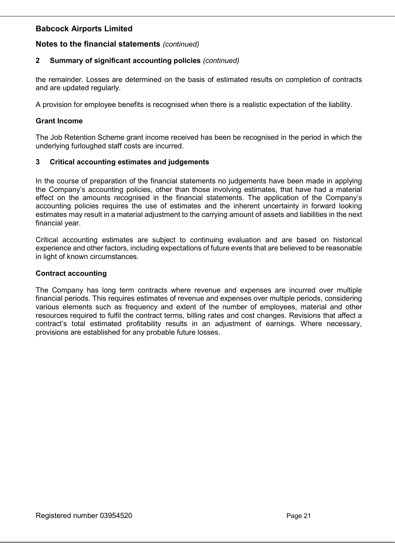## Notes to the financial statements (continued)

## 2 Summary of significant accounting policies (continued)

the remainder. Losses are determined on the basis of estimated results on completion of contracts and are updated regularly.

A provision for employee benefits is recognised when there is a realistic expectation of the liability.

### Grant Income

The Job Retention Scheme grant income received has been be recognised in the period in which the underlying furloughed staff costs are incurred.

#### 3 Critical accounting estimates and judgements

In the course of preparation of the financial statements no judgements have been made in applying the Company's accounting policies, other than those involving estimates, that have had a material effect on the amounts recognised in the financial statements. The application of the Company's accounting policies requires the use of estimates and the inherent uncertainty in forward looking estimates may result in a material adjustment to the carrying amount of assets and liabilities in the next financial year.

Critical accounting estimates are subject to continuing evaluation and are based on historical experience and other factors, including expectations of future events that are believed to be reasonable in light of known circumstances.

#### Contract accounting

The Company has long term contracts where revenue and expenses are incurred over multiple financial periods. This requires estimates of revenue and expenses over multiple periods, considering various elements such as frequency and extent of the number of employees, material and other resources required to fulfil the contract terms, billing rates and cost changes. Revisions that affect a contract's total estimated profitability results in an adjustment of earnings. Where necessary, provisions are established for any probable future losses.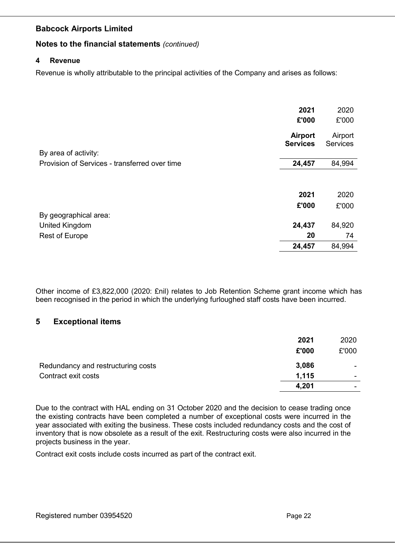## Notes to the financial statements (continued)

### 4 Revenue

Revenue is wholly attributable to the principal activities of the Company and arises as follows:

|                                               | 2021<br>£'000                     | 2020<br>£'000              |
|-----------------------------------------------|-----------------------------------|----------------------------|
| By area of activity:                          | <b>Airport</b><br><b>Services</b> | Airport<br><b>Services</b> |
| Provision of Services - transferred over time | 24,457                            | 84,994                     |
|                                               | 2021<br>£'000                     | 2020<br>£'000              |
| By geographical area:                         |                                   |                            |
| United Kingdom                                | 24,437                            | 84,920                     |
| <b>Rest of Europe</b>                         | 20                                | 74                         |
|                                               | 24,457                            | 84,994                     |

Other income of £3,822,000 (2020: £nil) relates to Job Retention Scheme grant income which has been recognised in the period in which the underlying furloughed staff costs have been incurred.

## 5 Exceptional items

|                                    | 2021  | 2020                     |
|------------------------------------|-------|--------------------------|
|                                    | £'000 | £'000                    |
| Redundancy and restructuring costs | 3,086 | $\overline{\phantom{a}}$ |
| Contract exit costs                | 1,115 | ٠                        |
|                                    | 4,201 |                          |

Due to the contract with HAL ending on 31 October 2020 and the decision to cease trading once the existing contracts have been completed a number of exceptional costs were incurred in the year associated with exiting the business. These costs included redundancy costs and the cost of inventory that is now obsolete as a result of the exit. Restructuring costs were also incurred in the projects business in the year.

Contract exit costs include costs incurred as part of the contract exit.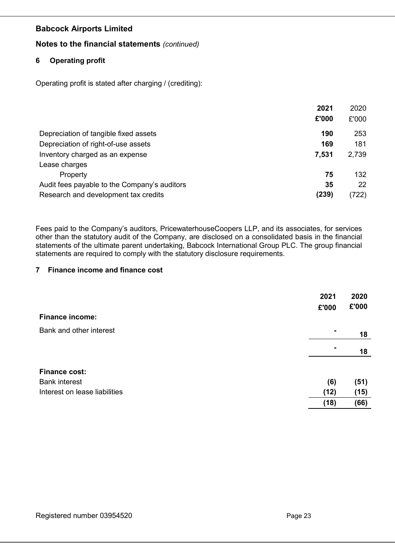## Notes to the financial statements (continued)

## 6 Operating profit

Operating profit is stated after charging / (crediting):

|                                              | 2021  | 2020  |
|----------------------------------------------|-------|-------|
|                                              | £'000 | £'000 |
| Depreciation of tangible fixed assets        | 190   | 253   |
| Depreciation of right-of-use assets          | 169   | 181   |
| Inventory charged as an expense              | 7,531 | 2,739 |
| Lease charges                                |       |       |
| Property                                     | 75    | 132   |
| Audit fees payable to the Company's auditors | 35    | 22    |
| Research and development tax credits         | (239) | (722) |

Fees paid to the Company's auditors, PricewaterhouseCoopers LLP, and its associates, for services other than the statutory audit of the Company, are disclosed on a consolidated basis in the financial statements of the ultimate parent undertaking, Babcock International Group PLC. The group financial statements are required to comply with the statutory disclosure requirements.

## 7 Finance income and finance cost

|                               | 2021<br>£'000  | 2020<br>£'000 |
|-------------------------------|----------------|---------------|
| <b>Finance income:</b>        |                |               |
| Bank and other interest       | $\blacksquare$ | 18            |
|                               | ۰              | 18            |
| <b>Finance cost:</b>          |                |               |
| <b>Bank interest</b>          | (6)            | (51)          |
| Interest on lease liabilities | (12)           | (15)          |
|                               | (18)           | (66)          |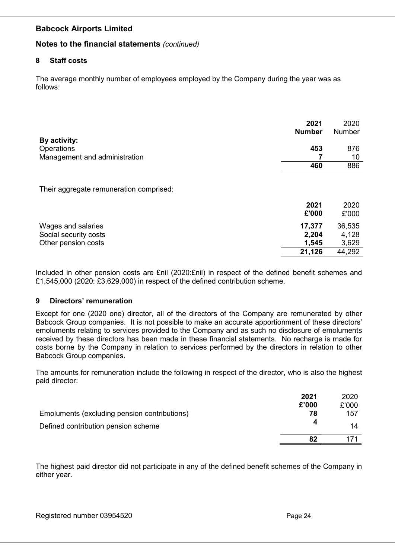## Notes to the financial statements (continued)

### 8 Staff costs

The average monthly number of employees employed by the Company during the year was as follows:

| By activity:                                                       | 2021<br><b>Number</b>    | 2020<br>Number           |
|--------------------------------------------------------------------|--------------------------|--------------------------|
| Operations                                                         | 453                      | 876                      |
| Management and administration                                      |                          | 10                       |
|                                                                    | 460                      | 886                      |
| Their aggregate remuneration comprised:                            | 2021<br>£'000            | 2020<br>£'000            |
| Wages and salaries<br>Social security costs<br>Other pension costs | 17,377<br>2,204<br>1,545 | 36,535<br>4,128<br>3,629 |
|                                                                    | 21,126                   | 44,292                   |

Included in other pension costs are £nil (2020:£nil) in respect of the defined benefit schemes and £1,545,000 (2020: £3,629,000) in respect of the defined contribution scheme.

## 9 Directors' remuneration

Except for one (2020 one) director, all of the directors of the Company are remunerated by other Babcock Group companies. It is not possible to make an accurate apportionment of these directors' emoluments relating to services provided to the Company and as such no disclosure of emoluments received by these directors has been made in these financial statements. No recharge is made for costs borne by the Company in relation to services performed by the directors in relation to other Babcock Group companies.

The amounts for remuneration include the following in respect of the director, who is also the highest paid director:

|                                              | 2021  | 2020  |
|----------------------------------------------|-------|-------|
|                                              | £'000 | £'000 |
| Emoluments (excluding pension contributions) | 78    | 157   |
| Defined contribution pension scheme          | 4     | 14    |
|                                              |       |       |

The highest paid director did not participate in any of the defined benefit schemes of the Company in either year.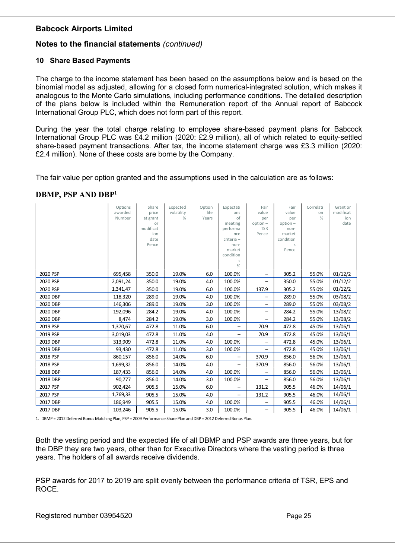## Notes to the financial statements (continued)

## 10 Share Based Payments

The charge to the income statement has been based on the assumptions below and is based on the binomial model as adjusted, allowing for a closed form numerical-integrated solution, which makes it analogous to the Monte Carlo simulations, including performance conditions. The detailed description of the plans below is included within the Remuneration report of the Annual report of Babcock International Group PLC, which does not form part of this report.

During the year the total charge relating to employee share-based payment plans for Babcock International Group PLC was £4.2 million (2020: £2.9 million), all of which related to equity-settled share-based payment transactions. After tax, the income statement charge was £3.3 million (2020: £2.4 million). None of these costs are borne by the Company.

The fair value per option granted and the assumptions used in the calculation are as follows:

## DBMP, PSP AND DBP<sup>1</sup>

|          | Options<br>awarded<br>Number | Share<br>price<br>at grant<br>or<br>modificat<br>ion<br>date<br>Pence | Expected<br>volatility<br>% | Option<br>life<br>Years | Expectati<br>ons<br>of<br>meeting<br>performa<br>nce<br>criteria -<br>non-<br>market<br>condition<br>S<br>% | Fair<br>value<br>per<br>$option -$<br><b>TSR</b><br>Pence | Fair<br>value<br>per<br>$option -$<br>non-<br>market<br>condition<br>S<br>Pence | Correlati<br>on<br>% | Grant or<br>modificat<br>ion<br>date |
|----------|------------------------------|-----------------------------------------------------------------------|-----------------------------|-------------------------|-------------------------------------------------------------------------------------------------------------|-----------------------------------------------------------|---------------------------------------------------------------------------------|----------------------|--------------------------------------|
| 2020 PSP | 695,458                      | 350.0                                                                 | 19.0%                       | 6.0                     | 100.0%                                                                                                      | -                                                         | 305.2                                                                           | 55.0%                | 01/12/2                              |
| 2020 PSP | 2,091,24                     | 350.0                                                                 | 19.0%                       | 4.0                     | 100.0%                                                                                                      |                                                           | 350.0                                                                           | 55.0%                | 01/12/2                              |
| 2020 PSP | 1,341,47                     | 350.0                                                                 | 19.0%                       | 6.0                     | 100.0%                                                                                                      | 137.9                                                     | 305.2                                                                           | 55.0%                | 01/12/2                              |
| 2020 DBP | 118,320                      | 289.0                                                                 | 19.0%                       | 4.0                     | 100.0%                                                                                                      | -                                                         | 289.0                                                                           | 55.0%                | 03/08/2                              |
| 2020 DBP | 146,306                      | 289.0                                                                 | 19.0%                       | 3.0                     | 100.0%                                                                                                      |                                                           | 289.0                                                                           | 55.0%                | 03/08/2                              |
| 2020 DBP | 192,096                      | 284.2                                                                 | 19.0%                       | 4.0                     | 100.0%                                                                                                      | $\qquad \qquad$                                           | 284.2                                                                           | 55.0%                | 13/08/2                              |
| 2020 DBP | 8,474                        | 284.2                                                                 | 19.0%                       | 3.0                     | 100.0%                                                                                                      | -                                                         | 284.2                                                                           | 55.0%                | 13/08/2                              |
| 2019 PSP | 1,370,67                     | 472.8                                                                 | 11.0%                       | 6.0                     | -                                                                                                           | 70.9                                                      | 472.8                                                                           | 45.0%                | 13/06/1                              |
| 2019 PSP | 3,019,03                     | 472.8                                                                 | 11.0%                       | 4.0                     | $\qquad \qquad -$                                                                                           | 70.9                                                      | 472.8                                                                           | 45.0%                | 13/06/1                              |
| 2019 DBP | 313,909                      | 472.8                                                                 | 11.0%                       | 4.0                     | 100.0%                                                                                                      |                                                           | 472.8                                                                           | 45.0%                | 13/06/1                              |
| 2019 DBP | 93,430                       | 472.8                                                                 | 11.0%                       | 3.0                     | 100.0%                                                                                                      |                                                           | 472.8                                                                           | 45.0%                | 13/06/1                              |
| 2018 PSP | 860,157                      | 856.0                                                                 | 14.0%                       | 6.0                     | -                                                                                                           | 370.9                                                     | 856.0                                                                           | 56.0%                | 13/06/1                              |
| 2018 PSP | 1,699,32                     | 856.0                                                                 | 14.0%                       | 4.0                     |                                                                                                             | 370.9                                                     | 856.0                                                                           | 56.0%                | 13/06/1                              |
| 2018 DBP | 187,433                      | 856.0                                                                 | 14.0%                       | 4.0                     | 100.0%                                                                                                      |                                                           | 856.0                                                                           | 56.0%                | 13/06/1                              |
| 2018 DBP | 90,777                       | 856.0                                                                 | 14.0%                       | 3.0                     | 100.0%                                                                                                      |                                                           | 856.0                                                                           | 56.0%                | 13/06/1                              |
| 2017 PSP | 902,424                      | 905.5                                                                 | 15.0%                       | 6.0                     | -                                                                                                           | 131.2                                                     | 905.5                                                                           | 46.0%                | 14/06/1                              |
| 2017 PSP | 1,769,33                     | 905.5                                                                 | 15.0%                       | 4.0                     |                                                                                                             | 131.2                                                     | 905.5                                                                           | 46.0%                | 14/06/1                              |
| 2017 DBP | 186,949                      | 905.5                                                                 | 15.0%                       | 4.0                     | 100.0%                                                                                                      | -                                                         | 905.5                                                                           | 46.0%                | 14/06/1                              |
| 2017 DBP | 103,246                      | 905.5                                                                 | 15.0%                       | 3.0                     | 100.0%                                                                                                      |                                                           | 905.5                                                                           | 46.0%                | 14/06/1                              |

1. DBMP = 2012 Deferred Bonus Matching Plan, PSP = 2009 Performance Share Plan and DBP = 2012 Deferred Bonus Plan.

Both the vesting period and the expected life of all DBMP and PSP awards are three years, but for the DBP they are two years, other than for Executive Directors where the vesting period is three years. The holders of all awards receive dividends.

PSP awards for 2017 to 2019 are split evenly between the performance criteria of TSR, EPS and ROCE.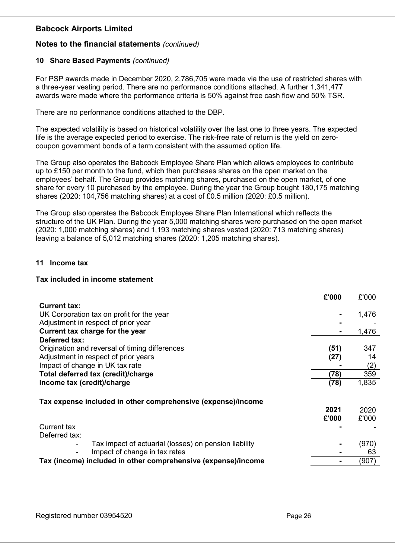## Notes to the financial statements (continued)

## 10 Share Based Payments (continued)

For PSP awards made in December 2020, 2,786,705 were made via the use of restricted shares with a three-year vesting period. There are no performance conditions attached. A further 1,341,477 awards were made where the performance criteria is 50% against free cash flow and 50% TSR.

There are no performance conditions attached to the DBP.

The expected volatility is based on historical volatility over the last one to three years. The expected life is the average expected period to exercise. The risk-free rate of return is the yield on zerocoupon government bonds of a term consistent with the assumed option life.

The Group also operates the Babcock Employee Share Plan which allows employees to contribute up to £150 per month to the fund, which then purchases shares on the open market on the employees' behalf. The Group provides matching shares, purchased on the open market, of one share for every 10 purchased by the employee. During the year the Group bought 180,175 matching shares (2020: 104,756 matching shares) at a cost of £0.5 million (2020: £0.5 million).

The Group also operates the Babcock Employee Share Plan International which reflects the structure of the UK Plan. During the year 5,000 matching shares were purchased on the open market (2020: 1,000 matching shares) and 1,193 matching shares vested (2020: 713 matching shares) leaving a balance of 5,012 matching shares (2020: 1,205 matching shares).

## 11 Income tax

### Tax included in income statement

|                                                               | £'000 | £'000 |
|---------------------------------------------------------------|-------|-------|
| <b>Current tax:</b>                                           |       |       |
| UK Corporation tax on profit for the year                     |       | 1,476 |
| Adjustment in respect of prior year                           |       |       |
| Current tax charge for the year                               |       | 1,476 |
| Deferred tax:                                                 |       |       |
| Origination and reversal of timing differences                | (51)  | 347   |
| Adjustment in respect of prior years                          | (27)  | 14    |
| Impact of change in UK tax rate                               |       | (2)   |
| Total deferred tax (credit)/charge                            | (78)  | 359   |
| Income tax (credit)/charge                                    | (78)  | 1,835 |
|                                                               |       |       |
| Tax expense included in other comprehensive (expense)/income  |       |       |
|                                                               | 2021  | 2020  |
|                                                               | £'000 | £'000 |
| Current tax                                                   |       |       |
| Deferred tax:                                                 |       |       |
| Tax impact of actuarial (losses) on pension liability         |       | (970) |
| Impact of change in tax rates                                 |       | 63    |
| Tax (income) included in other comprehensive (expense)/income |       | (907) |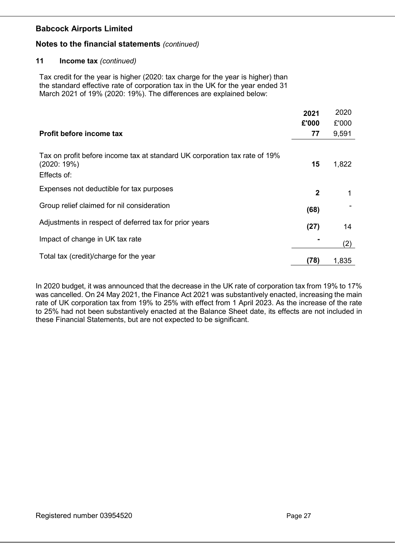## Notes to the financial statements (continued)

### 11 Income tax (continued)

Tax credit for the year is higher (2020: tax charge for the year is higher) than the standard effective rate of corporation tax in the UK for the year ended 31 March 2021 of 19% (2020: 19%). The differences are explained below:

|                                                                                                         | 2021         | 2020  |
|---------------------------------------------------------------------------------------------------------|--------------|-------|
|                                                                                                         | £'000        | £'000 |
| Profit before income tax                                                                                | 77           | 9,591 |
| Tax on profit before income tax at standard UK corporation tax rate of 19%<br>(2020:19%)<br>Effects of: | 15           | 1,822 |
| Expenses not deductible for tax purposes                                                                | $\mathbf{2}$ |       |
| Group relief claimed for nil consideration                                                              | (68)         |       |
| Adjustments in respect of deferred tax for prior years                                                  | (27)         | 14    |
| Impact of change in UK tax rate                                                                         |              | (2)   |
| Total tax (credit)/charge for the year                                                                  | (78)         | 1,835 |

In 2020 budget, it was announced that the decrease in the UK rate of corporation tax from 19% to 17% was cancelled. On 24 May 2021, the Finance Act 2021 was substantively enacted, increasing the main rate of UK corporation tax from 19% to 25% with effect from 1 April 2023. As the increase of the rate to 25% had not been substantively enacted at the Balance Sheet date, its effects are not included in these Financial Statements, but are not expected to be significant.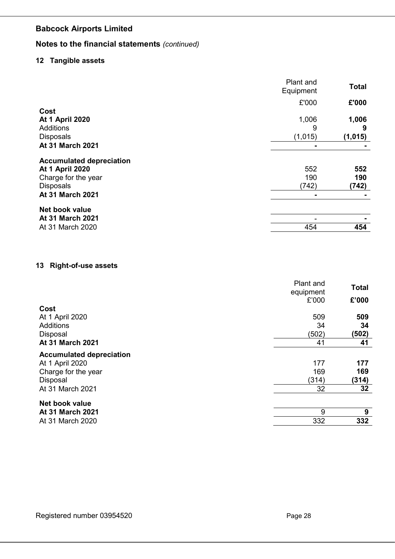# Notes to the financial statements (continued)

## 12 Tangible assets

|                                 | Plant and<br>Equipment | <b>Total</b> |
|---------------------------------|------------------------|--------------|
|                                 | £'000                  | £'000        |
| Cost                            |                        |              |
| <b>At 1 April 2020</b>          | 1,006                  | 1,006        |
| <b>Additions</b>                | 9                      | 9            |
| <b>Disposals</b>                | (1,015)                | (1,015)      |
| At 31 March 2021                | $\blacksquare$         |              |
| <b>Accumulated depreciation</b> |                        |              |
| <b>At 1 April 2020</b>          | 552                    | 552          |
| Charge for the year             | 190                    | 190          |
| <b>Disposals</b>                | (742)                  | (742)        |
| At 31 March 2021                | $\blacksquare$         |              |
| Net book value                  |                        |              |
| At 31 March 2021                |                        |              |
| At 31 March 2020                | 454                    | 454          |

## 13 Right-of-use assets

|                                 | Plant and<br>equipment | <b>Total</b>    |
|---------------------------------|------------------------|-----------------|
|                                 | £'000                  | £'000           |
| Cost                            |                        |                 |
| At 1 April 2020                 | 509                    | 509             |
| <b>Additions</b>                | 34                     | 34              |
| Disposal                        | (502)                  | (502)           |
| <b>At 31 March 2021</b>         | 41                     | 41              |
| <b>Accumulated depreciation</b> |                        |                 |
| At 1 April 2020                 | 177                    | 177             |
| Charge for the year             | 169                    | 169             |
| Disposal                        | (314)                  | (314)           |
| At 31 March 2021                | 32                     | 32 <sub>2</sub> |
| <b>Net book value</b>           |                        |                 |
| At 31 March 2021                | 9                      | 9               |
| At 31 March 2020                | 332                    | 332             |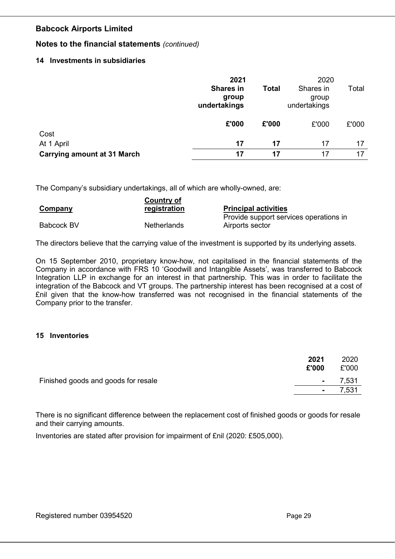## Notes to the financial statements (continued)

## 14 Investments in subsidiaries

|                                    | 2021                                      |              | 2020                               |       |
|------------------------------------|-------------------------------------------|--------------|------------------------------------|-------|
|                                    | <b>Shares in</b><br>group<br>undertakings | <b>Total</b> | Shares in<br>group<br>undertakings | Total |
|                                    | £'000                                     | £'000        | £'000                              | £'000 |
| Cost                               |                                           |              |                                    |       |
| At 1 April                         | 17                                        | 17           | 17                                 | 17    |
| <b>Carrying amount at 31 March</b> | 17                                        | 17           | 17                                 | 17    |

The Company's subsidiary undertakings, all of which are wholly-owned, are:

|                | <b>Country of</b>  |                                        |
|----------------|--------------------|----------------------------------------|
| <b>Company</b> | registration       | <b>Principal activities</b>            |
|                |                    | Provide support services operations in |
| Babcock BV     | <b>Netherlands</b> | Airports sector                        |

The directors believe that the carrying value of the investment is supported by its underlying assets.

On 15 September 2010, proprietary know-how, not capitalised in the financial statements of the Company in accordance with FRS 10 'Goodwill and Intangible Assets', was transferred to Babcock Integration LLP in exchange for an interest in that partnership. This was in order to facilitate the integration of the Babcock and VT groups. The partnership interest has been recognised at a cost of £nil given that the know-how transferred was not recognised in the financial statements of the Company prior to the transfer.

## 15 Inventories

|                                     | 2021<br>£'000   | 2020<br>£'000 |
|-------------------------------------|-----------------|---------------|
| Finished goods and goods for resale | $\sim$ 10 $\pm$ | 7,531         |
|                                     |                 | 7,531         |
|                                     |                 |               |

There is no significant difference between the replacement cost of finished goods or goods for resale and their carrying amounts.

Inventories are stated after provision for impairment of £nil (2020: £505,000).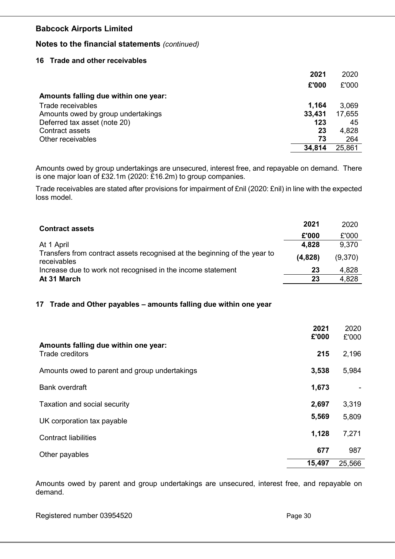## Notes to the financial statements (continued)

### 16 Trade and other receivables

|                                      | 2021   | 2020   |
|--------------------------------------|--------|--------|
|                                      | £'000  | £'000  |
| Amounts falling due within one year: |        |        |
| Trade receivables                    | 1,164  | 3,069  |
| Amounts owed by group undertakings   | 33,431 | 17,655 |
| Deferred tax asset (note 20)         | 123    | 45     |
| Contract assets                      | 23     | 4,828  |
| Other receivables                    | 73     | 264    |
|                                      | 34,814 | 25,861 |

Amounts owed by group undertakings are unsecured, interest free, and repayable on demand. There is one major loan of £32.1m (2020: £16.2m) to group companies.

Trade receivables are stated after provisions for impairment of £nil (2020: £nil) in line with the expected loss model.

| <b>Contract assets</b>                                                                   |         | 2020    |
|------------------------------------------------------------------------------------------|---------|---------|
|                                                                                          | £'000   | £'000   |
| At 1 April                                                                               | 4,828   | 9,370   |
| Transfers from contract assets recognised at the beginning of the year to<br>receivables | (4,828) | (9,370) |
| Increase due to work not recognised in the income statement                              | 23      | 4,828   |
| At 31 March                                                                              | 23      | 4,828   |

## 17 Trade and Other payables – amounts falling due within one year

|                                                         | 2021<br>£'000 | 2020<br>£'000 |
|---------------------------------------------------------|---------------|---------------|
| Amounts falling due within one year:<br>Trade creditors | 215           | 2,196         |
| Amounts owed to parent and group undertakings           | 3,538         | 5,984         |
| <b>Bank overdraft</b>                                   | 1,673         |               |
| Taxation and social security                            | 2,697         | 3,319         |
| UK corporation tax payable                              | 5,569         | 5,809         |
| <b>Contract liabilities</b>                             | 1,128         | 7,271         |
| Other payables                                          | 677           | 987           |
|                                                         | 15,497        | 25,566        |

Amounts owed by parent and group undertakings are unsecured, interest free, and repayable on demand.

Registered number 03954520 Page 30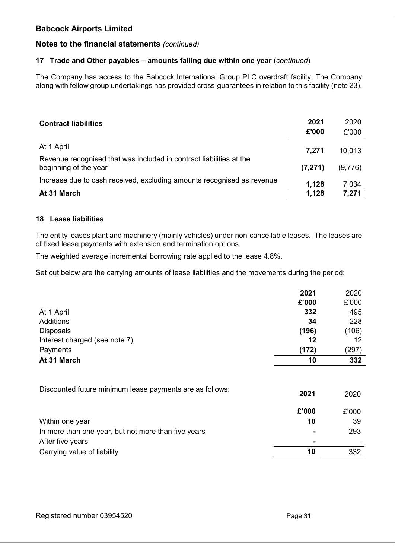## Notes to the financial statements (continued)

## 17 Trade and Other payables - amounts falling due within one year (continued)

The Company has access to the Babcock International Group PLC overdraft facility. The Company along with fellow group undertakings has provided cross-guarantees in relation to this facility (note 23).

| <b>Contract liabilities</b>                                                                  | 2021<br>£'000 | 2020<br>£'000 |
|----------------------------------------------------------------------------------------------|---------------|---------------|
| At 1 April                                                                                   | 7.271         | 10,013        |
| Revenue recognised that was included in contract liabilities at the<br>beginning of the year | (7, 271)      | (9,776)       |
| Increase due to cash received, excluding amounts recognised as revenue                       | 1,128         | 7,034         |
| At 31 March                                                                                  | 1,128         | 7,271         |

#### 18 Lease liabilities

The entity leases plant and machinery (mainly vehicles) under non-cancellable leases. The leases are of fixed lease payments with extension and termination options.

The weighted average incremental borrowing rate applied to the lease 4.8%.

Set out below are the carrying amounts of lease liabilities and the movements during the period:

|                                                          | 2021  | 2020  |
|----------------------------------------------------------|-------|-------|
|                                                          | £'000 | £'000 |
| At 1 April                                               | 332   | 495   |
| Additions                                                | 34    | 228   |
| <b>Disposals</b>                                         | (196) | (106) |
| Interest charged (see note 7)                            | 12    | 12    |
| Payments                                                 | (172) | (297) |
| At 31 March                                              | 10    | 332   |
|                                                          |       |       |
| Discounted future minimum lease payments are as follows: | 2021  | 2020  |

|                                                     | £'000          | £'000                    |
|-----------------------------------------------------|----------------|--------------------------|
| Within one year                                     | 10             | 39                       |
| In more than one year, but not more than five years | $\blacksquare$ | 293                      |
| After five years                                    | $\blacksquare$ | $\overline{\phantom{a}}$ |
| Carrying value of liability                         | 10             | 332                      |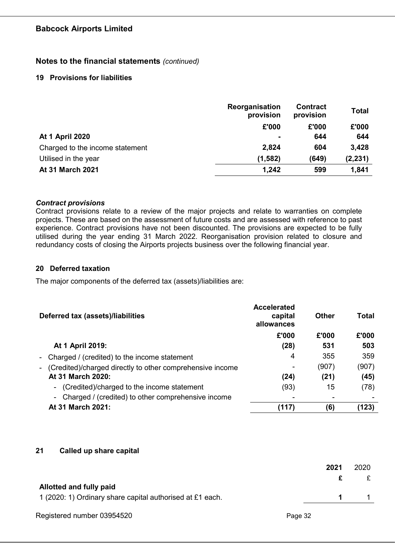## Notes to the financial statements (continued)

## 19 Provisions for liabilities

|                                 | Reorganisation<br>provision | <b>Contract</b><br>provision | <b>Total</b> |
|---------------------------------|-----------------------------|------------------------------|--------------|
|                                 | £'000                       | £'000                        | £'000        |
| <b>At 1 April 2020</b>          |                             | 644                          | 644          |
| Charged to the income statement | 2,824                       | 604                          | 3,428        |
| Utilised in the year            | (1, 582)                    | (649)                        | (2, 231)     |
| At 31 March 2021                | 1,242                       | 599                          | 1,841        |

## Contract provisions

Contract provisions relate to a review of the major projects and relate to warranties on complete projects. These are based on the assessment of future costs and are assessed with reference to past experience. Contract provisions have not been discounted. The provisions are expected to be fully utilised during the year ending 31 March 2022. Reorganisation provision related to closure and redundancy costs of closing the Airports projects business over the following financial year.

#### 20 Deferred taxation

The major components of the deferred tax (assets)/liabilities are:

| Deferred tax (assets)/liabilities                            | <b>Accelerated</b><br>capital<br>allowances | <b>Other</b> | Total |
|--------------------------------------------------------------|---------------------------------------------|--------------|-------|
|                                                              | £'000                                       | £'000        | £'000 |
| At 1 April 2019:                                             | (28)                                        | 531          | 503   |
| - Charged / (credited) to the income statement               | 4                                           | 355          | 359   |
| (Credited)/charged directly to other comprehensive income    | ٠                                           | (907)        | (907) |
| At 31 March 2020:                                            | (24)                                        | (21)         | (45)  |
| (Credited)/charged to the income statement<br>$\sim$         | (93)                                        | 15           | (78)  |
| Charged / (credited) to other comprehensive income<br>$\sim$ | $\overline{\phantom{0}}$                    |              |       |
| At 31 March 2021:                                            | (117)                                       | (6)          | (123) |

## 21 Called up share capital

|                                                           | 2021 | 2020 |
|-----------------------------------------------------------|------|------|
|                                                           | £    |      |
| Allotted and fully paid                                   |      |      |
| 1 (2020: 1) Ordinary share capital authorised at £1 each. | 1.   |      |
|                                                           |      |      |

Registered number 03954520 Page 32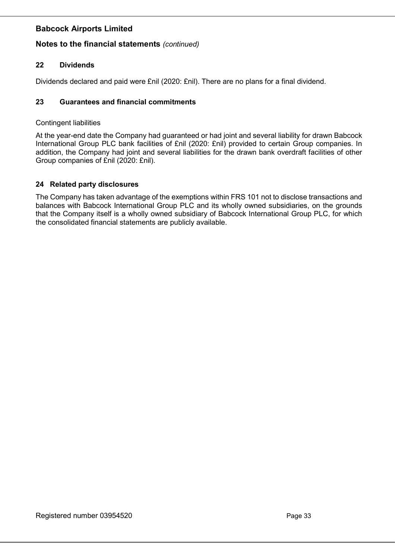## Notes to the financial statements (continued)

## 22 Dividends

Dividends declared and paid were £nil (2020: £nil). There are no plans for a final dividend.

## 23 Guarantees and financial commitments

## Contingent liabilities

At the year-end date the Company had guaranteed or had joint and several liability for drawn Babcock International Group PLC bank facilities of £nil (2020: £nil) provided to certain Group companies. In addition, the Company had joint and several liabilities for the drawn bank overdraft facilities of other Group companies of £nil (2020: £nil).

## 24 Related party disclosures

The Company has taken advantage of the exemptions within FRS 101 not to disclose transactions and balances with Babcock International Group PLC and its wholly owned subsidiaries, on the grounds that the Company itself is a wholly owned subsidiary of Babcock International Group PLC, for which the consolidated financial statements are publicly available.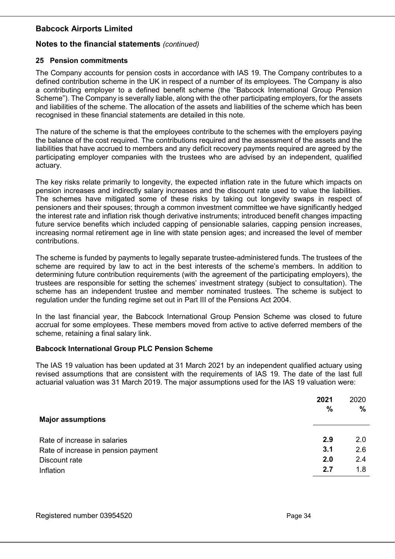## Notes to the financial statements (continued)

### 25 Pension commitments

The Company accounts for pension costs in accordance with IAS 19. The Company contributes to a defined contribution scheme in the UK in respect of a number of its employees. The Company is also a contributing employer to a defined benefit scheme (the "Babcock International Group Pension Scheme"). The Company is severally liable, along with the other participating employers, for the assets and liabilities of the scheme. The allocation of the assets and liabilities of the scheme which has been recognised in these financial statements are detailed in this note.

The nature of the scheme is that the employees contribute to the schemes with the employers paying the balance of the cost required. The contributions required and the assessment of the assets and the liabilities that have accrued to members and any deficit recovery payments required are agreed by the participating employer companies with the trustees who are advised by an independent, qualified actuary.

The key risks relate primarily to longevity, the expected inflation rate in the future which impacts on pension increases and indirectly salary increases and the discount rate used to value the liabilities. The schemes have mitigated some of these risks by taking out longevity swaps in respect of pensioners and their spouses; through a common investment committee we have significantly hedged the interest rate and inflation risk though derivative instruments; introduced benefit changes impacting future service benefits which included capping of pensionable salaries, capping pension increases, increasing normal retirement age in line with state pension ages; and increased the level of member contributions.

The scheme is funded by payments to legally separate trustee-administered funds. The trustees of the scheme are required by law to act in the best interests of the scheme's members. In addition to determining future contribution requirements (with the agreement of the participating employers), the trustees are responsible for setting the schemes' investment strategy (subject to consultation). The scheme has an independent trustee and member nominated trustees. The scheme is subject to regulation under the funding regime set out in Part III of the Pensions Act 2004.

In the last financial year, the Babcock International Group Pension Scheme was closed to future accrual for some employees. These members moved from active to active deferred members of the scheme, retaining a final salary link.

## Babcock International Group PLC Pension Scheme

The IAS 19 valuation has been updated at 31 March 2021 by an independent qualified actuary using revised assumptions that are consistent with the requirements of IAS 19. The date of the last full actuarial valuation was 31 March 2019. The major assumptions used for the IAS 19 valuation were:

| <b>Major assumptions</b>            | 2021<br>$\frac{0}{0}$ | 2020<br>% |
|-------------------------------------|-----------------------|-----------|
| Rate of increase in salaries        | 2.9                   | 2.0       |
| Rate of increase in pension payment | 3.1                   | 2.6       |
| Discount rate                       | 2.0                   | 2.4       |
| Inflation                           | 2.7                   | 1.8       |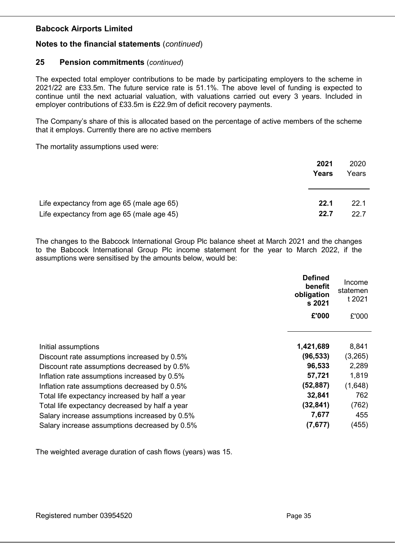## Notes to the financial statements (continued)

## 25 Pension commitments (continued)

The expected total employer contributions to be made by participating employers to the scheme in 2021/22 are £33.5m. The future service rate is 51.1%. The above level of funding is expected to continue until the next actuarial valuation, with valuations carried out every 3 years. Included in employer contributions of £33.5m is £22.9m of deficit recovery payments.

The Company's share of this is allocated based on the percentage of active members of the scheme that it employs. Currently there are no active members

The mortality assumptions used were:

|                                           | 2021<br>Years | 2020<br>Years |
|-------------------------------------------|---------------|---------------|
| Life expectancy from age 65 (male age 65) | 22.1          | 22.1          |
| Life expectancy from age 65 (male age 45) | 22.7          | 22.7          |

The changes to the Babcock International Group Plc balance sheet at March 2021 and the changes to the Babcock International Group Plc income statement for the year to March 2022, if the assumptions were sensitised by the amounts below, would be:

|                                                | <b>Defined</b><br>benefit<br>obligation<br>s 2021 | Income<br>statemen<br>t 2021 |
|------------------------------------------------|---------------------------------------------------|------------------------------|
|                                                | £'000                                             | £'000                        |
|                                                |                                                   |                              |
| Initial assumptions                            | 1,421,689                                         | 8,841                        |
| Discount rate assumptions increased by 0.5%    | (96, 533)                                         | (3,265)                      |
| Discount rate assumptions decreased by 0.5%    | 96,533                                            | 2,289                        |
| Inflation rate assumptions increased by 0.5%   | 57,721                                            | 1,819                        |
| Inflation rate assumptions decreased by 0.5%   | (52, 887)                                         | (1,648)                      |
| Total life expectancy increased by half a year | 32,841                                            | 762                          |
| Total life expectancy decreased by half a year | (32, 841)                                         | (762)                        |
| Salary increase assumptions increased by 0.5%  | 7,677                                             | 455                          |
| Salary increase assumptions decreased by 0.5%  | (7,677)                                           | (455)                        |

The weighted average duration of cash flows (years) was 15.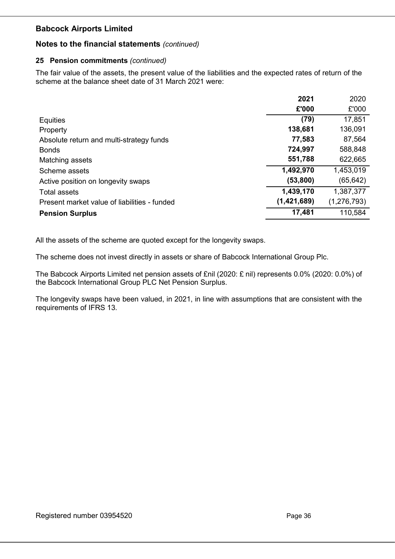## Notes to the financial statements (continued)

## 25 Pension commitments (continued)

The fair value of the assets, the present value of the liabilities and the expected rates of return of the scheme at the balance sheet date of 31 March 2021 were:

|                                              | 2021        | 2020          |
|----------------------------------------------|-------------|---------------|
|                                              | £'000       | £'000         |
| <b>Equities</b>                              | (79)        | 17,851        |
| Property                                     | 138,681     | 136,091       |
| Absolute return and multi-strategy funds     | 77,583      | 87,564        |
| <b>Bonds</b>                                 | 724,997     | 588,848       |
| Matching assets                              | 551,788     | 622,665       |
| Scheme assets                                | 1,492,970   | 1,453,019     |
| Active position on longevity swaps           | (53,800)    | (65, 642)     |
| Total assets                                 | 1,439,170   | 1,387,377     |
| Present market value of liabilities - funded | (1,421,689) | (1, 276, 793) |
| <b>Pension Surplus</b>                       | 17,481      | 110,584       |

All the assets of the scheme are quoted except for the longevity swaps.

The scheme does not invest directly in assets or share of Babcock International Group Plc.

The Babcock Airports Limited net pension assets of £nil (2020: £ nil) represents 0.0% (2020: 0.0%) of the Babcock International Group PLC Net Pension Surplus.

The longevity swaps have been valued, in 2021, in line with assumptions that are consistent with the requirements of IFRS 13.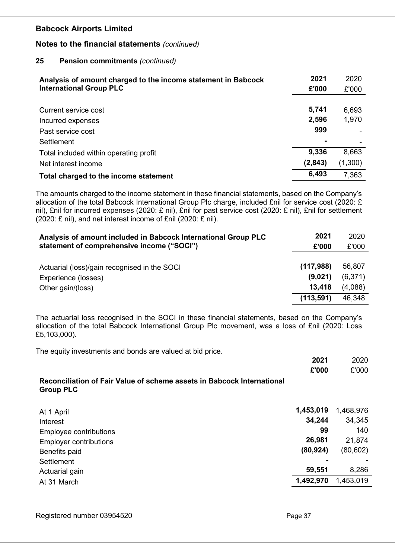## Notes to the financial statements (continued)

#### 25 Pension commitments (continued)

| Analysis of amount charged to the income statement in Babcock | 2021    | 2020    |
|---------------------------------------------------------------|---------|---------|
| <b>International Group PLC</b>                                | £'000   | £'000   |
|                                                               |         |         |
| Current service cost                                          | 5,741   | 6,693   |
| Incurred expenses                                             | 2,596   | 1,970   |
| Past service cost                                             | 999     |         |
| Settlement                                                    |         |         |
| Total included within operating profit                        | 9,336   | 8,663   |
| Net interest income                                           | (2,843) | (1,300) |
| Total charged to the income statement                         | 6,493   | 7,363   |

The amounts charged to the income statement in these financial statements, based on the Company's allocation of the total Babcock International Group Plc charge, included £nil for service cost (2020: £ nil), £nil for incurred expenses (2020: £ nil), £nil for past service cost (2020: £ nil), £nil for settlement (2020: £ nil), and net interest income of £nil (2020: £ nil).

| Analysis of amount included in Babcock International Group PLC<br>statement of comprehensive income ("SOCI") | 2021<br>£'000        | 2020<br>£'000     |
|--------------------------------------------------------------------------------------------------------------|----------------------|-------------------|
|                                                                                                              |                      |                   |
| Actuarial (loss)/gain recognised in the SOCI<br>Experience (losses)                                          | (117,988)<br>(9,021) | 56,807<br>(6,371) |
| Other gain/(loss)                                                                                            | 13,418               | (4,088)           |
|                                                                                                              | (113, 591)           | 46,348            |

The actuarial loss recognised in the SOCI in these financial statements, based on the Company's allocation of the total Babcock International Group Plc movement, was a loss of £nil (2020: Loss £5,103,000).

The equity investments and bonds are valued at bid price.

|                                                                                            | 2021      | 2020      |
|--------------------------------------------------------------------------------------------|-----------|-----------|
|                                                                                            | £'000     | £'000     |
| Reconciliation of Fair Value of scheme assets in Babcock International<br><b>Group PLC</b> |           |           |
| At 1 April                                                                                 | 1,453,019 | 1,468,976 |
| Interest                                                                                   | 34,244    | 34,345    |
| Employee contributions                                                                     | 99        | 140       |
| <b>Employer contributions</b>                                                              | 26,981    | 21,874    |
| Benefits paid                                                                              | (80, 924) | (80, 602) |
| Settlement                                                                                 |           |           |
| Actuarial gain                                                                             | 59,551    | 8,286     |
| At 31 March                                                                                | 1,492,970 | 1,453,019 |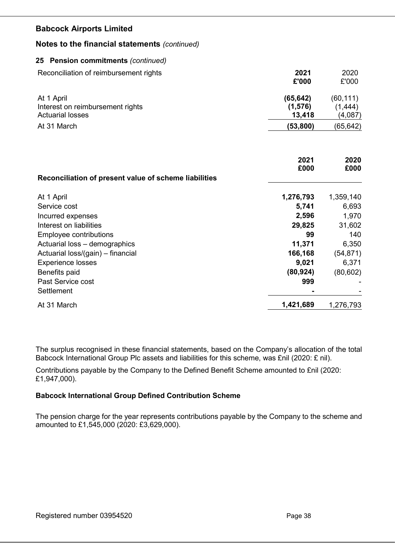## Notes to the financial statements (continued)

### 25 Pension commitments (continued)

| Reconciliation of reimbursement rights                                    | 2021<br>£'000                   | 2020<br>£'000                    |
|---------------------------------------------------------------------------|---------------------------------|----------------------------------|
| At 1 April<br>Interest on reimbursement rights<br><b>Actuarial losses</b> | (65, 642)<br>(1, 576)<br>13,418 | (60, 111)<br>(1, 444)<br>(4,087) |
| At 31 March                                                               | (53, 800)                       | (65, 642)                        |
| Reconciliation of present value of scheme liabilities                     | 2021<br>£000                    | 2020<br>£000                     |
| At 1 April                                                                | 1,276,793                       | 1,359,140                        |
| Service cost                                                              | 5,741                           | 6,693                            |
| Incurred expenses                                                         | 2,596                           | 1,970                            |
| Interest on liabilities                                                   | 29,825                          | 31,602                           |
| <b>Employee contributions</b>                                             | 99                              | 140                              |
| Actuarial loss - demographics                                             | 11,371                          | 6,350                            |
| Actuarial loss/(gain) - financial                                         | 166,168                         | (54, 871)                        |
| <b>Experience losses</b>                                                  | 9,021                           | 6,371                            |
| Benefits paid                                                             | (80, 924)                       | (80, 602)                        |
| Past Service cost<br>Settlement                                           | 999                             |                                  |
| At 31 March                                                               | 1,421,689                       | 1,276,793                        |

The surplus recognised in these financial statements, based on the Company's allocation of the total Babcock International Group Plc assets and liabilities for this scheme, was £nil (2020: £ nil).

Contributions payable by the Company to the Defined Benefit Scheme amounted to £nil (2020: £1,947,000).

## Babcock International Group Defined Contribution Scheme

The pension charge for the year represents contributions payable by the Company to the scheme and amounted to £1,545,000 (2020: £3,629,000).